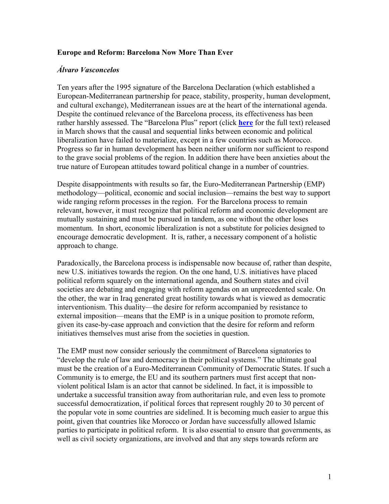## **Europe and Reform: Barcelona Now More Than Ever**

## *Álvaro Vasconcelos*

Ten years after the 1995 signature of the Barcelona Declaration (which established a European-Mediterranean partnership for peace, stability, prosperity, human development, and cultural exchange), Mediterranean issues are at the heart of the international agenda. Despite the continued relevance of the Barcelona process, its effectiveness has been rather harshly assessed. The "Barcelona Plus" report (click **here** for the full text) released in March shows that the causal and sequential links between economic and political liberalization have failed to materialize, except in a few countries such as Morocco. Progress so far in human development has been neither uniform nor sufficient to respond to the grave social problems of the region. In addition there have been anxieties about the true nature of European attitudes toward political change in a number of countries.

Despite disappointments with results so far, the Euro-Mediterranean Partnership (EMP) methodology—political, economic and social inclusion—remains the best way to support wide ranging reform processes in the region. For the Barcelona process to remain relevant, however, it must recognize that political reform and economic development are mutually sustaining and must be pursued in tandem, as one without the other loses momentum. In short, economic liberalization is not a substitute for policies designed to encourage democratic development. It is, rather, a necessary component of a holistic approach to change.

Paradoxically, the Barcelona process is indispensable now because of, rather than despite, new U.S. initiatives towards the region. On the one hand, U.S. initiatives have placed political reform squarely on the international agenda, and Southern states and civil societies are debating and engaging with reform agendas on an unprecedented scale. On the other, the war in Iraq generated great hostility towards what is viewed as democratic interventionism. This duality—the desire for reform accompanied by resistance to external imposition—means that the EMP is in a unique position to promote reform, given its case-by-case approach and conviction that the desire for reform and reform initiatives themselves must arise from the societies in question.

The EMP must now consider seriously the commitment of Barcelona signatories to "develop the rule of law and democracy in their political systems." The ultimate goal must be the creation of a Euro-Mediterranean Community of Democratic States. If such a Community is to emerge, the EU and its southern partners must first accept that nonviolent political Islam is an actor that cannot be sidelined. In fact, it is impossible to undertake a successful transition away from authoritarian rule, and even less to promote successful democratization, if political forces that represent roughly 20 to 30 percent of the popular vote in some countries are sidelined. It is becoming much easier to argue this point, given that countries like Morocco or Jordan have successfully allowed Islamic parties to participate in political reform. It is also essential to ensure that governments, as well as civil society organizations, are involved and that any steps towards reform are